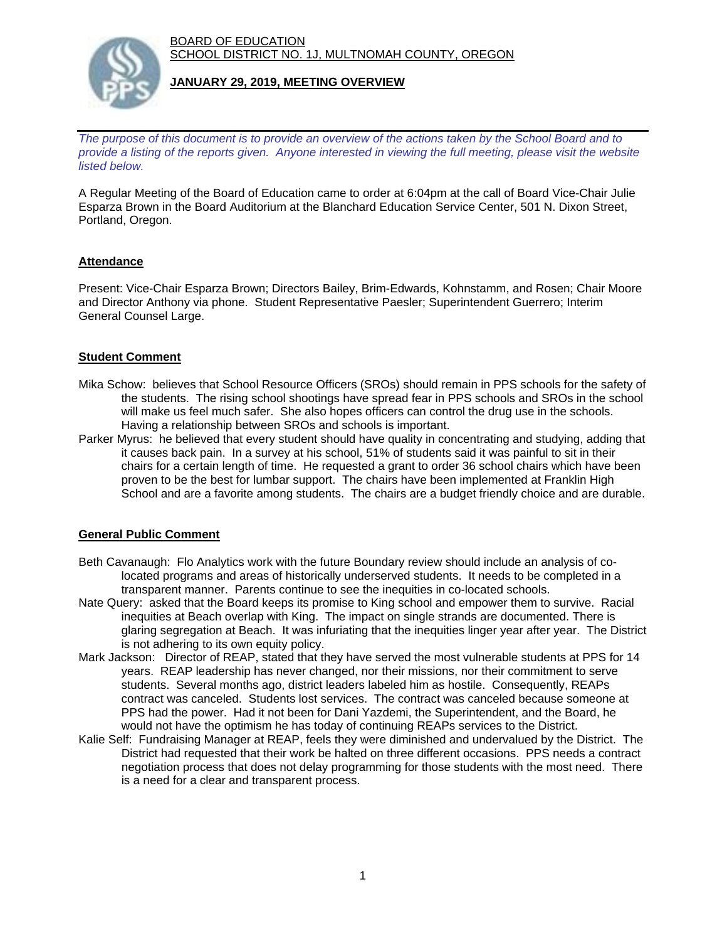BOARD OF EDUCATION SCHOOL DISTRICT NO. 1J, MULTNOMAH COUNTY, OREGON



### **JANUARY 29, 2019, MEETING OVERVIEW**

*The purpose of this document is to provide an overview of the actions taken by the School Board and to provide a listing of the reports given. Anyone interested in viewing the full meeting, please visit the website listed below.*

A Regular Meeting of the Board of Education came to order at 6:04pm at the call of Board Vice-Chair Julie Esparza Brown in the Board Auditorium at the Blanchard Education Service Center, 501 N. Dixon Street, Portland, Oregon.

# **Attendance**

Present: Vice-Chair Esparza Brown; Directors Bailey, Brim-Edwards, Kohnstamm, and Rosen; Chair Moore and Director Anthony via phone. Student Representative Paesler; Superintendent Guerrero; Interim General Counsel Large.

# **Student Comment**

- Mika Schow: believes that School Resource Officers (SROs) should remain in PPS schools for the safety of the students. The rising school shootings have spread fear in PPS schools and SROs in the school will make us feel much safer. She also hopes officers can control the drug use in the schools. Having a relationship between SROs and schools is important.
- Parker Myrus: he believed that every student should have quality in concentrating and studying, adding that it causes back pain. In a survey at his school, 51% of students said it was painful to sit in their chairs for a certain length of time. He requested a grant to order 36 school chairs which have been proven to be the best for lumbar support. The chairs have been implemented at Franklin High School and are a favorite among students. The chairs are a budget friendly choice and are durable.

## **General Public Comment**

- Beth Cavanaugh: Flo Analytics work with the future Boundary review should include an analysis of co located programs and areas of historically underserved students. It needs to be completed in a transparent manner. Parents continue to see the inequities in co-located schools.
- Nate Query: asked that the Board keeps its promise to King school and empower them to survive. Racial inequities at Beach overlap with King. The impact on single strands are documented. There is glaring segregation at Beach. It was infuriating that the inequities linger year after year. The District is not adhering to its own equity policy.
- Mark Jackson: Director of REAP, stated that they have served the most vulnerable students at PPS for 14 years. REAP leadership has never changed, nor their missions, nor their commitment to serve students. Several months ago, district leaders labeled him as hostile. Consequently, REAPs contract was canceled. Students lost services. The contract was canceled because someone at PPS had the power. Had it not been for Dani Yazdemi, the Superintendent, and the Board, he would not have the optimism he has today of continuing REAPs services to the District.
- Kalie Self: Fundraising Manager at REAP, feels they were diminished and undervalued by the District. The District had requested that their work be halted on three different occasions. PPS needs a contract negotiation process that does not delay programming for those students with the most need. There is a need for a clear and transparent process.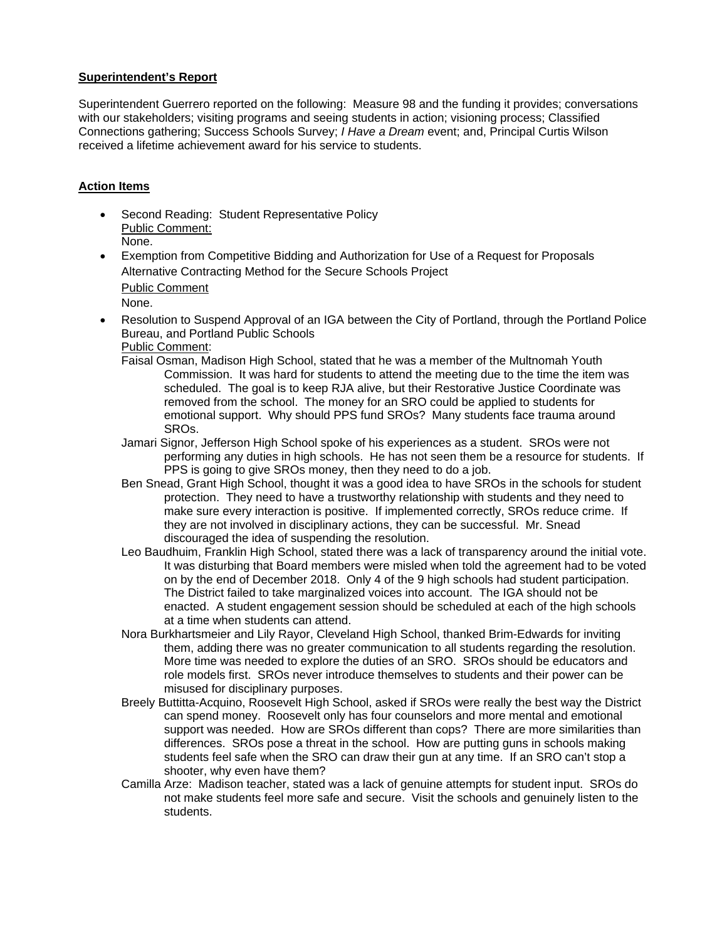### **Superintendent's Report**

Superintendent Guerrero reported on the following: Measure 98 and the funding it provides; conversations with our stakeholders; visiting programs and seeing students in action; visioning process; Classified Connections gathering; Success Schools Survey; *I Have a Dream* event; and, Principal Curtis Wilson received a lifetime achievement award for his service to students.

## **Action Items**

- Second Reading: Student Representative Policy Public Comment: None.
- Exemption from Competitive Bidding and Authorization for Use of a Request for Proposals Alternative Contracting Method for the Secure Schools Project Public Comment
	- None.
- Resolution to Suspend Approval of an IGA between the City of Portland, through the Portland Police Bureau, and Portland Public Schools Public Comment:
	- Faisal Osman, Madison High School, stated that he was a member of the Multnomah Youth Commission. It was hard for students to attend the meeting due to the time the item was scheduled. The goal is to keep RJA alive, but their Restorative Justice Coordinate was removed from the school. The money for an SRO could be applied to students for emotional support. Why should PPS fund SROs? Many students face trauma around SROs.
	- Jamari Signor, Jefferson High School spoke of his experiences as a student. SROs were not performing any duties in high schools. He has not seen them be a resource for students. If PPS is going to give SROs money, then they need to do a job.
	- Ben Snead, Grant High School, thought it was a good idea to have SROs in the schools for student protection. They need to have a trustworthy relationship with students and they need to make sure every interaction is positive. If implemented correctly, SROs reduce crime. If they are not involved in disciplinary actions, they can be successful. Mr. Snead discouraged the idea of suspending the resolution.
	- Leo Baudhuim, Franklin High School, stated there was a lack of transparency around the initial vote. It was disturbing that Board members were misled when told the agreement had to be voted on by the end of December 2018. Only 4 of the 9 high schools had student participation. The District failed to take marginalized voices into account. The IGA should not be enacted. A student engagement session should be scheduled at each of the high schools at a time when students can attend.
	- Nora Burkhartsmeier and Lily Rayor, Cleveland High School, thanked Brim-Edwards for inviting them, adding there was no greater communication to all students regarding the resolution. More time was needed to explore the duties of an SRO. SROs should be educators and role models first. SROs never introduce themselves to students and their power can be misused for disciplinary purposes.
	- Breely Buttitta-Acquino, Roosevelt High School, asked if SROs were really the best way the District can spend money. Roosevelt only has four counselors and more mental and emotional support was needed. How are SROs different than cops? There are more similarities than differences. SROs pose a threat in the school. How are putting guns in schools making students feel safe when the SRO can draw their gun at any time. If an SRO can't stop a shooter, why even have them?
	- Camilla Arze: Madison teacher, stated was a lack of genuine attempts for student input. SROs do not make students feel more safe and secure. Visit the schools and genuinely listen to the students.